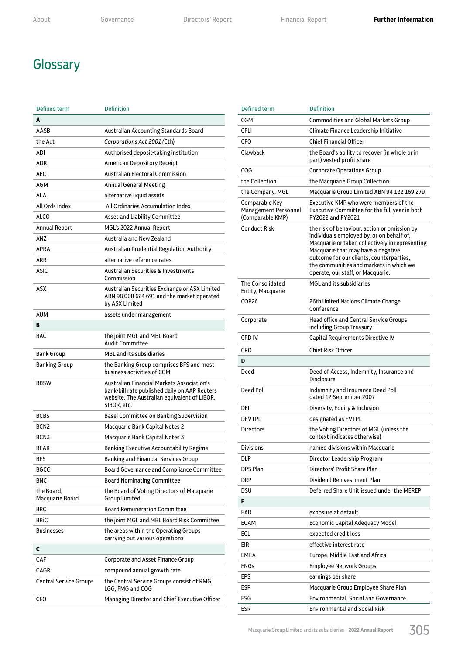## **Glossary**

| Defined term                  | <b>Definition</b>                                                                                                                                                 |
|-------------------------------|-------------------------------------------------------------------------------------------------------------------------------------------------------------------|
| A                             |                                                                                                                                                                   |
| AASB                          | Australian Accounting Standards Board                                                                                                                             |
| the Act                       | Corporations Act 2001 (Cth)                                                                                                                                       |
| ADI                           | Authorised deposit-taking institution                                                                                                                             |
| <b>ADR</b>                    | <b>American Depository Receipt</b>                                                                                                                                |
| <b>AEC</b>                    | <b>Australian Electoral Commission</b>                                                                                                                            |
| <b>AGM</b>                    | <b>Annual General Meeting</b>                                                                                                                                     |
| ALA                           | alternative liquid assets                                                                                                                                         |
| All Ords Index                | All Ordinaries Accumulation Index                                                                                                                                 |
| <b>ALCO</b>                   | Asset and Liability Committee                                                                                                                                     |
| <b>Annual Report</b>          | MGL's 2022 Annual Report                                                                                                                                          |
| ANZ                           | Australia and New Zealand                                                                                                                                         |
| <b>APRA</b>                   | Australian Prudential Regulation Authority                                                                                                                        |
| ARR                           | alternative reference rates                                                                                                                                       |
| <b>ASIC</b>                   | <b>Australian Securities &amp; Investments</b><br>Commission                                                                                                      |
| ASX                           | Australian Securities Exchange or ASX Limited<br>ABN 98 008 624 691 and the market operated<br>by ASX Limited                                                     |
| <b>AUM</b>                    | assets under management                                                                                                                                           |
| в                             |                                                                                                                                                                   |
| <b>BAC</b>                    | the joint MGL and MBL Board<br>Audit Committee                                                                                                                    |
| <b>Bank Group</b>             | <b>MBL</b> and its subsidiaries                                                                                                                                   |
| <b>Banking Group</b>          | the Banking Group comprises BFS and most<br>business activities of CGM                                                                                            |
| <b>BBSW</b>                   | <b>Australian Financial Markets Association's</b><br>bank-bill rate published daily on AAP Reuters<br>website. The Australian equivalent of LIBOR,<br>SIBOR, etc. |
| <b>BCBS</b>                   | <b>Basel Committee on Banking Supervision</b>                                                                                                                     |
| BCN <sub>2</sub>              | Macquarie Bank Capital Notes 2                                                                                                                                    |
| BCN <sub>3</sub>              | Macquarie Bank Capital Notes 3                                                                                                                                    |
| <b>BFAR</b>                   | <b>Banking Executive Accountability Regime</b>                                                                                                                    |
| <b>BFS</b>                    | <b>Banking and Financial Services Group</b>                                                                                                                       |
| <b>BGCC</b>                   | Board Governance and Compliance Committee                                                                                                                         |
| <b>BNC</b>                    | <b>Board Nominating Committee</b>                                                                                                                                 |
| the Board,<br>Macquarie Board | the Board of Voting Directors of Macquarie<br>Group Limited                                                                                                       |
| <b>BRC</b>                    | <b>Board Remuneration Committee</b>                                                                                                                               |
| <b>BRIC</b>                   | the joint MGL and MBL Board Risk Committee                                                                                                                        |
| <b>Businesses</b>             | the areas within the Operating Groups<br>carrying out various operations                                                                                          |
| C                             |                                                                                                                                                                   |
| CAF                           | Corporate and Asset Finance Group                                                                                                                                 |
| CAGR                          | compound annual growth rate                                                                                                                                       |
| <b>Central Service Groups</b> | the Central Service Groups consist of RMG,<br>LGG, FMG and COG                                                                                                    |
| <b>CEO</b>                    | Managing Director and Chief Executive Officer                                                                                                                     |

| <b>Defined term</b>                                               | <b>Definition</b>                                                                                                                                                                                                                                                                                              |
|-------------------------------------------------------------------|----------------------------------------------------------------------------------------------------------------------------------------------------------------------------------------------------------------------------------------------------------------------------------------------------------------|
| CGM                                                               | Commodities and Global Markets Group                                                                                                                                                                                                                                                                           |
| <b>CFLI</b>                                                       | Climate Finance Leadership Initiative                                                                                                                                                                                                                                                                          |
| CFO                                                               | <b>Chief Financial Officer</b>                                                                                                                                                                                                                                                                                 |
| Clawback                                                          | the Board's ability to recover (in whole or in<br>part) vested profit share                                                                                                                                                                                                                                    |
| COG                                                               | <b>Corporate Operations Group</b>                                                                                                                                                                                                                                                                              |
| the Collection                                                    | the Macquarie Group Collection                                                                                                                                                                                                                                                                                 |
| the Company, MGL                                                  | Macquarie Group Limited ABN 94 122 169 279                                                                                                                                                                                                                                                                     |
| Comparable Key<br><b>Management Personnel</b><br>(Comparable KMP) | Executive KMP who were members of the<br>Executive Committee for the full year in both<br>FY2022 and FY2021                                                                                                                                                                                                    |
| <b>Conduct Risk</b>                                               | the risk of behaviour, action or omission by<br>individuals employed by, or on behalf of,<br>Macquarie or taken collectively in representing<br>Macquarie that may have a negative<br>outcome for our clients, counterparties.<br>the communities and markets in which we<br>operate, our staff, or Macquarie. |
| The Consolidated<br>Entity, Macquarie                             | <b>MGL and its subsidiaries</b>                                                                                                                                                                                                                                                                                |
| COP26                                                             | 26th United Nations Climate Change<br>Conference                                                                                                                                                                                                                                                               |
| Corporate                                                         | <b>Head office and Central Service Groups</b><br>including Group Treasury                                                                                                                                                                                                                                      |
| CRD IV                                                            | Capital Requirements Directive IV                                                                                                                                                                                                                                                                              |
| CRO                                                               | <b>Chief Risk Officer</b>                                                                                                                                                                                                                                                                                      |
| D                                                                 |                                                                                                                                                                                                                                                                                                                |
| Deed                                                              | Deed of Access, Indemnity, Insurance and<br><b>Disclosure</b>                                                                                                                                                                                                                                                  |
| Deed Poll                                                         |                                                                                                                                                                                                                                                                                                                |
|                                                                   | <b>Indemnity and Insurance Deed Poll</b><br>dated 12 September 2007                                                                                                                                                                                                                                            |
| DEI                                                               | Diversity, Equity & Inclusion                                                                                                                                                                                                                                                                                  |
| <b>DFVTPL</b>                                                     | designated as FVTPL                                                                                                                                                                                                                                                                                            |
| <b>Directors</b>                                                  | the Voting Directors of MGL (unless the<br>context indicates otherwise)                                                                                                                                                                                                                                        |
| <b>Divisions</b>                                                  | named divisions within Macquarie                                                                                                                                                                                                                                                                               |
| DLP                                                               | Director Leadership Program                                                                                                                                                                                                                                                                                    |
| <b>DPS Plan</b>                                                   | Directors' Profit Share Plan                                                                                                                                                                                                                                                                                   |
| DRP                                                               | Dividend Reinvestment Plan                                                                                                                                                                                                                                                                                     |
| DSU                                                               | Deferred Share Unit issued under the MEREP                                                                                                                                                                                                                                                                     |
| Е                                                                 |                                                                                                                                                                                                                                                                                                                |
| EAD                                                               | exposure at default                                                                                                                                                                                                                                                                                            |
| ECAM                                                              | Economic Capital Adequacy Model                                                                                                                                                                                                                                                                                |
| ECL                                                               | expected credit loss                                                                                                                                                                                                                                                                                           |
| eir                                                               | effective interest rate                                                                                                                                                                                                                                                                                        |
| EMEA                                                              | Europe, Middle East and Africa                                                                                                                                                                                                                                                                                 |
| ENGs                                                              | <b>Employee Network Groups</b>                                                                                                                                                                                                                                                                                 |
| EPS                                                               | earnings per share                                                                                                                                                                                                                                                                                             |
| ESP                                                               | Macquarie Group Employee Share Plan                                                                                                                                                                                                                                                                            |
| ESG                                                               | Environmental, Social and Governance                                                                                                                                                                                                                                                                           |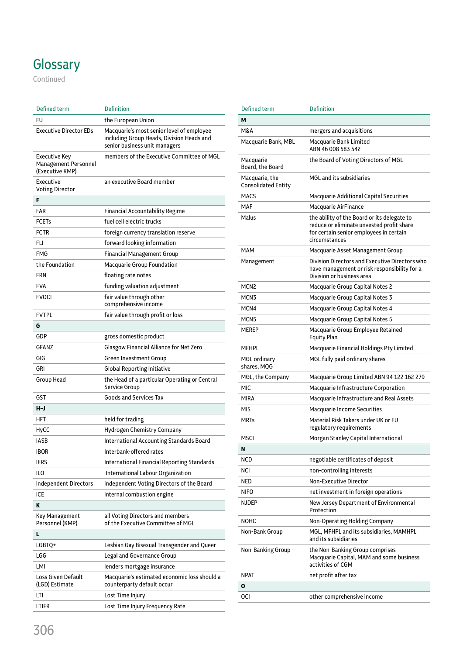## **Glossary**

Continued

| Defined term                                             | <b>Definition</b>                                                                                                       |
|----------------------------------------------------------|-------------------------------------------------------------------------------------------------------------------------|
| EU                                                       | the European Union                                                                                                      |
| <b>Executive Director EDs</b>                            | Macquarie's most senior level of employee<br>including Group Heads, Division Heads and<br>senior business unit managers |
| Executive Key<br>Management Personnel<br>(Executive KMP) | members of the Executive Committee of MGL                                                                               |
| Executive<br><b>Voting Director</b>                      | an executive Board member                                                                                               |
| F                                                        |                                                                                                                         |
| FAR                                                      | Financial Accountability Regime                                                                                         |
| FCETs                                                    | fuel cell electric trucks                                                                                               |
| <b>FCTR</b>                                              | foreign currency translation reserve                                                                                    |
| FLI                                                      | forward looking information                                                                                             |
| FMG                                                      | <b>Financial Management Group</b>                                                                                       |
| the Foundation                                           | <b>Macquarie Group Foundation</b>                                                                                       |
| FRN                                                      | floating rate notes                                                                                                     |
| FVA                                                      | funding valuation adjustment                                                                                            |
| <b>FVOCI</b>                                             | fair value through other<br>comprehensive income                                                                        |
| FVTPL                                                    | fair value through profit or loss                                                                                       |
| G                                                        |                                                                                                                         |
| GDP                                                      | gross domestic product                                                                                                  |
| GFANZ                                                    | Glasgow Financial Alliance for Net Zero                                                                                 |
| GIG                                                      | Green Investment Group                                                                                                  |
| GRI                                                      | Global Reporting Initiative                                                                                             |
| Group Head                                               | the Head of a particular Operating or Central<br>Service Group                                                          |
| GST                                                      | <b>Goods and Services Tax</b>                                                                                           |
| H-J                                                      |                                                                                                                         |
| HFT                                                      | held for trading                                                                                                        |
| HyCC                                                     | Hydrogen Chemistry Company                                                                                              |
| IASB                                                     | International Accounting Standards Board                                                                                |
| IBOR                                                     | Interbank-offered rates                                                                                                 |
| <b>IFRS</b>                                              | <b>International Financial Reporting Standards</b>                                                                      |
| ILО                                                      | <b>International Labour Organization</b>                                                                                |
| Independent Directors                                    | independent Voting Directors of the Board                                                                               |
| ICE                                                      | internal combustion engine                                                                                              |
| Κ                                                        |                                                                                                                         |
| Key Management<br>Personnel (KMP)                        | all Voting Directors and members<br>of the Executive Committee of MGL                                                   |
| L                                                        |                                                                                                                         |
| LGBTQ+                                                   | Lesbian Gay Bisexual Transgender and Queer                                                                              |
| LGG                                                      | Legal and Governance Group                                                                                              |
| LMI                                                      | lenders mortgage insurance                                                                                              |
| Loss Given Default<br>(LGD) Estimate                     | Macquarie's estimated economic loss should a<br>counterparty default occur                                              |
| LTI                                                      | Lost Time Injury                                                                                                        |
| ltifr                                                    | Lost Time Injury Frequency Rate                                                                                         |

| Defined term                                 | <b>Definition</b>                                                                                                                                    |
|----------------------------------------------|------------------------------------------------------------------------------------------------------------------------------------------------------|
| М                                            |                                                                                                                                                      |
| M&A                                          | mergers and acquisitions                                                                                                                             |
| Macquarie Bank, MBL                          | Macquarie Bank Limited<br>ABN 46 008 583 542                                                                                                         |
| Macquarie<br>Board, the Board                | the Board of Voting Directors of MGL                                                                                                                 |
| Macquarie, the<br><b>Consolidated Entity</b> | MGL and its subsidiaries                                                                                                                             |
| <b>MACS</b>                                  | <b>Macquarie Additional Capital Securities</b>                                                                                                       |
| MAF                                          | Macquarie AirFinance                                                                                                                                 |
| Malus                                        | the ability of the Board or its delegate to<br>reduce or eliminate unvested profit share<br>for certain senior employees in certain<br>circumstances |
| MAM                                          | Macquarie Asset Management Group                                                                                                                     |
| Management                                   | Division Directors and Executive Directors who<br>have management or risk responsibility for a<br>Division or business area                          |
| MCN <sub>2</sub>                             | Macquarie Group Capital Notes 2                                                                                                                      |
| MCN3                                         | Macquarie Group Capital Notes 3                                                                                                                      |
| MCN4                                         | Macquarie Group Capital Notes 4                                                                                                                      |
| MCN5                                         | Macquarie Group Capital Notes 5                                                                                                                      |
| <b>MEREP</b>                                 | Macquarie Group Employee Retained<br><b>Equity Plan</b>                                                                                              |
| MFHPL                                        | Macquarie Financial Holdings Pty Limited                                                                                                             |
| MGL ordinary<br>shares, MQG                  | MGL fully paid ordinary shares                                                                                                                       |
| MGL, the Company                             | Macquarie Group Limited ABN 94 122 162 279                                                                                                           |
| MIC                                          | Macquarie Infrastructure Corporation                                                                                                                 |
| MIRA                                         | Macquarie Infrastructure and Real Assets                                                                                                             |
| MIS                                          | <b>Macquarie Income Securities</b>                                                                                                                   |
| <b>MRTs</b>                                  | Material Risk Takers under UK or EU<br>regulatory requirements                                                                                       |
| MSCI                                         | Morgan Stanley Capital International                                                                                                                 |
| N                                            |                                                                                                                                                      |
| NCD                                          | negotiable certificates of deposit                                                                                                                   |
| NCI                                          | non-controlling interests                                                                                                                            |
| NED                                          | <b>Non-Executive Director</b>                                                                                                                        |
| NIFO                                         | net investment in foreign operations                                                                                                                 |
| NJDEP                                        | New Jersey Department of Environmental<br>Protection                                                                                                 |
| монс                                         | Non-Operating Holding Company                                                                                                                        |
| Non-Bank Group                               | MGL, MFHPL and its subsidiaries, MAMHPL<br>and its subsidiaries                                                                                      |
| Non-Banking Group                            | the Non-Banking Group comprises<br>Macquarie Capital, MAM and some business<br>activities of CGM                                                     |
| NPAT                                         | net profit after tax                                                                                                                                 |
| 0                                            |                                                                                                                                                      |
| 0CI                                          | other comprehensive income                                                                                                                           |
|                                              |                                                                                                                                                      |